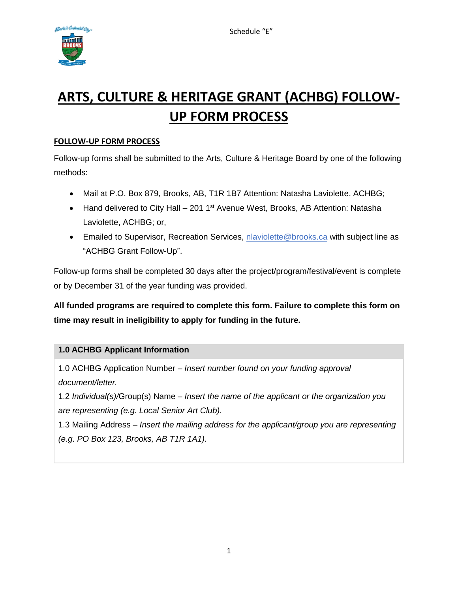

# **ARTS, CULTURE & HERITAGE GRANT (ACHBG) FOLLOW-UP FORM PROCESS**

## **FOLLOW-UP FORM PROCESS**

Follow-up forms shall be submitted to the Arts, Culture & Heritage Board by one of the following methods:

- Mail at P.O. Box 879, Brooks, AB, T1R 1B7 Attention: Natasha Laviolette, ACHBG;
- Hand delivered to City Hall 201 1<sup>st</sup> Avenue West, Brooks, AB Attention: Natasha Laviolette, ACHBG; or,
- Emailed to Supervisor, Recreation Services, [nlaviolette@brooks.ca](mailto:nlaviolette@brooks.ca) with subject line as "ACHBG Grant Follow-Up".

Follow-up forms shall be completed 30 days after the project/program/festival/event is complete or by December 31 of the year funding was provided.

**All funded programs are required to complete this form. Failure to complete this form on time may result in ineligibility to apply for funding in the future.** 

## **1.0 ACHBG Applicant Information**

1.0 ACHBG Application Number *– Insert number found on your funding approval document/letter.* 

1.2 *Individual(s)/*Group(s) Name *– Insert the name of the applicant or the organization you are representing (e.g. Local Senior Art Club).*

1.3 Mailing Address *– Insert the mailing address for the applicant/group you are representing (e.g*. *PO Box 123, Brooks, AB T1R 1A1).*